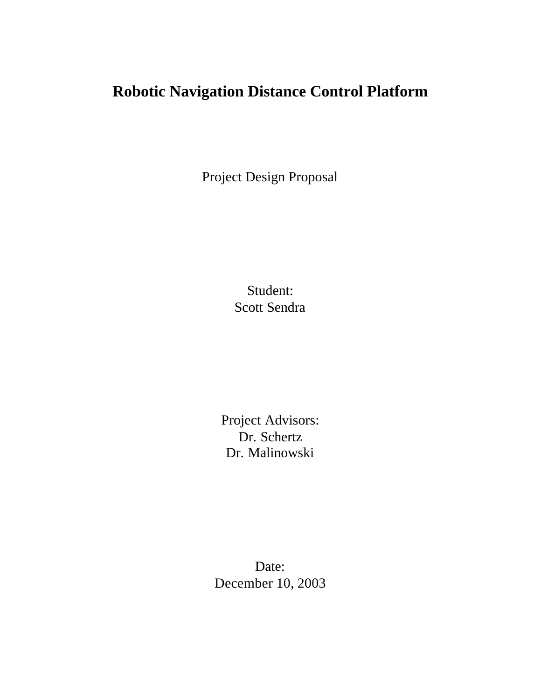# **Robotic Navigation Distance Control Platform**

Project Design Proposal

Student: Scott Sendra

Project Advisors: Dr. Schertz Dr. Malinowski

Date: December 10, 2003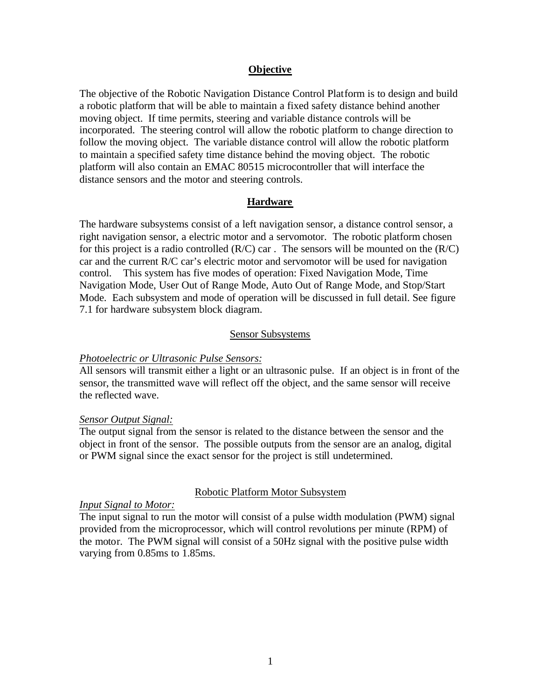#### **Objective**

The objective of the Robotic Navigation Distance Control Platform is to design and build a robotic platform that will be able to maintain a fixed safety distance behind another moving object. If time permits, steering and variable distance controls will be incorporated. The steering control will allow the robotic platform to change direction to follow the moving object. The variable distance control will allow the robotic platform to maintain a specified safety time distance behind the moving object. The robotic platform will also contain an EMAC 80515 microcontroller that will interface the distance sensors and the motor and steering controls.

#### **Hardware**

The hardware subsystems consist of a left navigation sensor, a distance control sensor, a right navigation sensor, a electric motor and a servomotor. The robotic platform chosen for this project is a radio controlled  $(R/C)$  car. The sensors will be mounted on the  $(R/C)$ car and the current R/C car's electric motor and servomotor will be used for navigation control. This system has five modes of operation: Fixed Navigation Mode, Time Navigation Mode, User Out of Range Mode, Auto Out of Range Mode, and Stop/Start Mode. Each subsystem and mode of operation will be discussed in full detail. See figure 7.1 for hardware subsystem block diagram.

#### Sensor Subsystems

#### *Photoelectric or Ultrasonic Pulse Sensors:*

All sensors will transmit either a light or an ultrasonic pulse. If an object is in front of the sensor, the transmitted wave will reflect off the object, and the same sensor will receive the reflected wave.

#### *Sensor Output Signal:*

The output signal from the sensor is related to the distance between the sensor and the object in front of the sensor. The possible outputs from the sensor are an analog, digital or PWM signal since the exact sensor for the project is still undetermined.

#### Robotic Platform Motor Subsystem

#### *Input Signal to Motor:*

The input signal to run the motor will consist of a pulse width modulation (PWM) signal provided from the microprocessor, which will control revolutions per minute (RPM) of the motor. The PWM signal will consist of a 50Hz signal with the positive pulse width varying from 0.85ms to 1.85ms.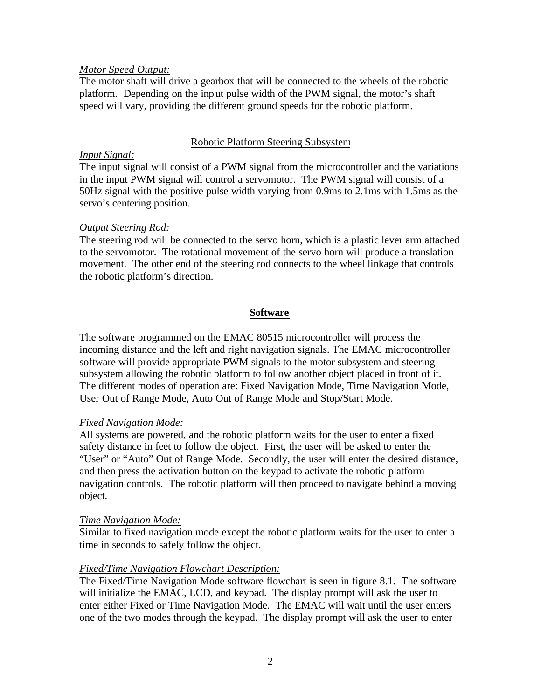### *Motor Speed Output:*

The motor shaft will drive a gearbox that will be connected to the wheels of the robotic platform. Depending on the input pulse width of the PWM signal, the motor's shaft speed will vary, providing the different ground speeds for the robotic platform.

# Robotic Platform Steering Subsystem

# *Input Signal:*

The input signal will consist of a PWM signal from the microcontroller and the variations in the input PWM signal will control a servomotor. The PWM signal will consist of a 50Hz signal with the positive pulse width varying from 0.9ms to 2.1ms with 1.5ms as the servo's centering position.

# *Output Steering Rod:*

The steering rod will be connected to the servo horn, which is a plastic lever arm attached to the servomotor. The rotational movement of the servo horn will produce a translation movement. The other end of the steering rod connects to the wheel linkage that controls the robotic platform's direction.

# **Software**

The software programmed on the EMAC 80515 microcontroller will process the incoming distance and the left and right navigation signals. The EMAC microcontroller software will provide appropriate PWM signals to the motor subsystem and steering subsystem allowing the robotic platform to follow another object placed in front of it. The different modes of operation are: Fixed Navigation Mode, Time Navigation Mode, User Out of Range Mode, Auto Out of Range Mode and Stop/Start Mode.

### *Fixed Navigation Mode:*

All systems are powered, and the robotic platform waits for the user to enter a fixed safety distance in feet to follow the object. First, the user will be asked to enter the "User" or "Auto" Out of Range Mode. Secondly, the user will enter the desired distance, and then press the activation button on the keypad to activate the robotic platform navigation controls. The robotic platform will then proceed to navigate behind a moving object.

### *Time Navigation Mode:*

Similar to fixed navigation mode except the robotic platform waits for the user to enter a time in seconds to safely follow the object.

# *Fixed/Time Navigation Flowchart Description:*

The Fixed/Time Navigation Mode software flowchart is seen in figure 8.1.The software will initialize the EMAC, LCD, and keypad. The display prompt will ask the user to enter either Fixed or Time Navigation Mode. The EMAC will wait until the user enters one of the two modes through the keypad. The display prompt will ask the user to enter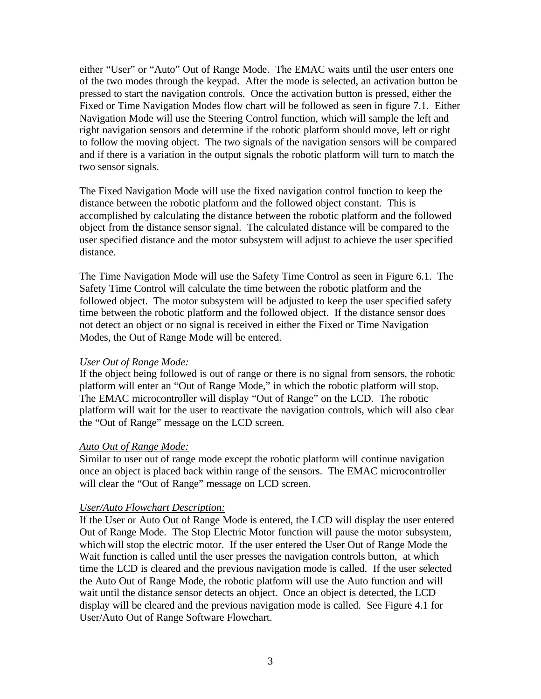either "User" or "Auto" Out of Range Mode. The EMAC waits until the user enters one of the two modes through the keypad. After the mode is selected, an activation button be pressed to start the navigation controls. Once the activation button is pressed, either the Fixed or Time Navigation Modes flow chart will be followed as seen in figure 7.1. Either Navigation Mode will use the Steering Control function, which will sample the left and right navigation sensors and determine if the robotic platform should move, left or right to follow the moving object. The two signals of the navigation sensors will be compared and if there is a variation in the output signals the robotic platform will turn to match the two sensor signals.

The Fixed Navigation Mode will use the fixed navigation control function to keep the distance between the robotic platform and the followed object constant. This is accomplished by calculating the distance between the robotic platform and the followed object from the distance sensor signal. The calculated distance will be compared to the user specified distance and the motor subsystem will adjust to achieve the user specified distance.

The Time Navigation Mode will use the Safety Time Control as seen in Figure 6.1. The Safety Time Control will calculate the time between the robotic platform and the followed object. The motor subsystem will be adjusted to keep the user specified safety time between the robotic platform and the followed object. If the distance sensor does not detect an object or no signal is received in either the Fixed or Time Navigation Modes, the Out of Range Mode will be entered.

# *User Out of Range Mode:*

If the object being followed is out of range or there is no signal from sensors, the robotic platform will enter an "Out of Range Mode," in which the robotic platform will stop. The EMAC microcontroller will display "Out of Range" on the LCD. The robotic platform will wait for the user to reactivate the navigation controls, which will also clear the "Out of Range" message on the LCD screen.

### *Auto Out of Range Mode:*

Similar to user out of range mode except the robotic platform will continue navigation once an object is placed back within range of the sensors. The EMAC microcontroller will clear the "Out of Range" message on LCD screen.

# *User/Auto Flowchart Description:*

If the User or Auto Out of Range Mode is entered, the LCD will display the user entered Out of Range Mode. The Stop Electric Motor function will pause the motor subsystem, which will stop the electric motor. If the user entered the User Out of Range Mode the Wait function is called until the user presses the navigation controls button, at which time the LCD is cleared and the previous navigation mode is called. If the user selected the Auto Out of Range Mode, the robotic platform will use the Auto function and will wait until the distance sensor detects an object. Once an object is detected, the LCD display will be cleared and the previous navigation mode is called. See Figure 4.1 for User/Auto Out of Range Software Flowchart.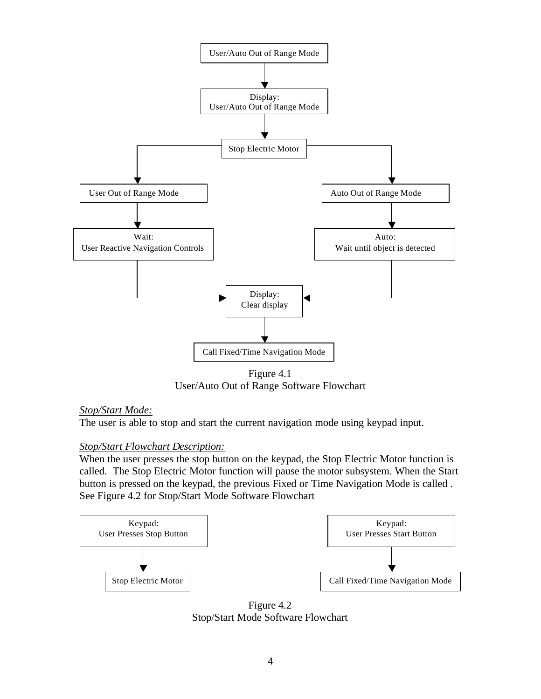

Figure 4.1 User/Auto Out of Range Software Flowchart

# *Stop/Start Mode:*

The user is able to stop and start the current navigation mode using keypad input.

# *Stop/Start Flowchart Description:*

When the user presses the stop button on the keypad, the Stop Electric Motor function is called. The Stop Electric Motor function will pause the motor subsystem. When the Start button is pressed on the keypad, the previous Fixed or Time Navigation Mode is called . See Figure 4.2 for Stop/Start Mode Software Flowchart



Figure 4.2 Stop/Start Mode Software Flowchart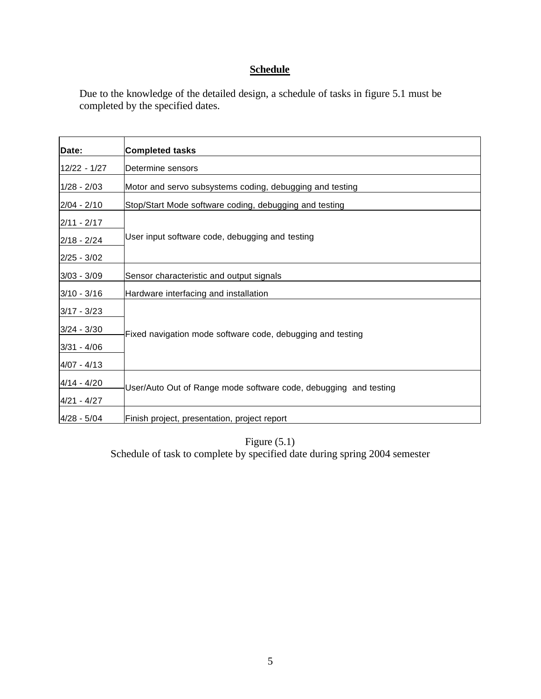# **Schedule**

Due to the knowledge of the detailed design, a schedule of tasks in figure 5.1 must be completed by the specified dates.

| Date:         | <b>Completed tasks</b>                                           |
|---------------|------------------------------------------------------------------|
| 12/22 - 1/27  | Determine sensors                                                |
| $1/28 - 2/03$ | Motor and servo subsystems coding, debugging and testing         |
| $2/04 - 2/10$ | Stop/Start Mode software coding, debugging and testing           |
| $2/11 - 2/17$ | User input software code, debugging and testing                  |
| $2/18 - 2/24$ |                                                                  |
| $2/25 - 3/02$ |                                                                  |
| $3/03 - 3/09$ | Sensor characteristic and output signals                         |
| $3/10 - 3/16$ | Hardware interfacing and installation                            |
| 3/17 - 3/23   | Fixed navigation mode software code, debugging and testing       |
| $3/24 - 3/30$ |                                                                  |
| 3/31 - 4/06   |                                                                  |
| 4/07 - 4/13   |                                                                  |
| $4/14 - 4/20$ | User/Auto Out of Range mode software code, debugging and testing |
| 4/21 - 4/27   |                                                                  |
| $4/28 - 5/04$ | Finish project, presentation, project report                     |

Figure (5.1) Schedule of task to complete by specified date during spring 2004 semester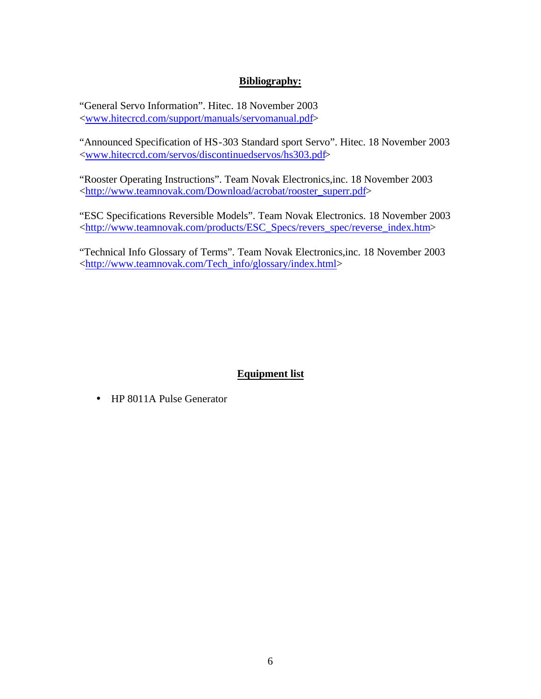# **Bibliography:**

"General Servo Information". Hitec. 18 November 2003 <www.hitecrcd.com/support/manuals/servomanual.pdf>

"Announced Specification of HS-303 Standard sport Servo". Hitec. 18 November 2003 <www.hitecrcd.com/servos/discontinuedservos/hs303.pdf>

"Rooster Operating Instructions". Team Novak Electronics,inc. 18 November 2003 <http://www.teamnovak.com/Download/acrobat/rooster\_superr.pdf>

"ESC Specifications Reversible Models". Team Novak Electronics. 18 November 2003 <http://www.teamnovak.com/products/ESC\_Specs/revers\_spec/reverse\_index.htm>

"Technical Info Glossary of Terms". Team Novak Electronics,inc. 18 November 2003 <http://www.teamnovak.com/Tech\_info/glossary/index.html>

# **Equipment list**

• HP 8011A Pulse Generator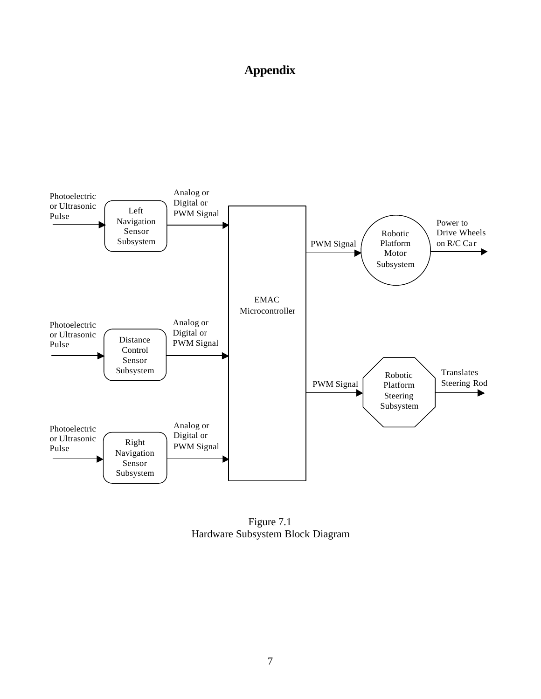# **Appendix**



Figure 7.1 Hardware Subsystem Block Diagram